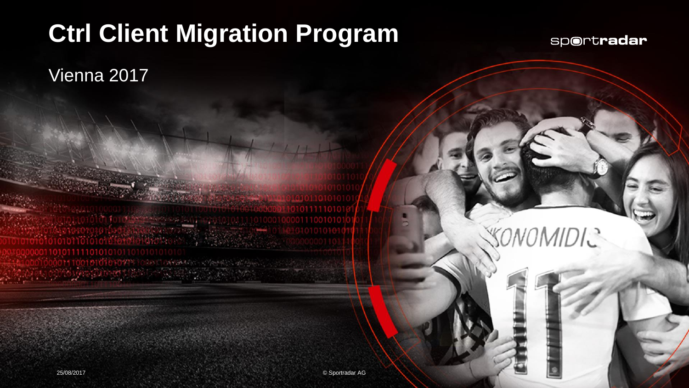## **Ctrl Client Migration Program**

**CAMPARTIN** 

sportradar

Vienna 2017

SONO AIDIC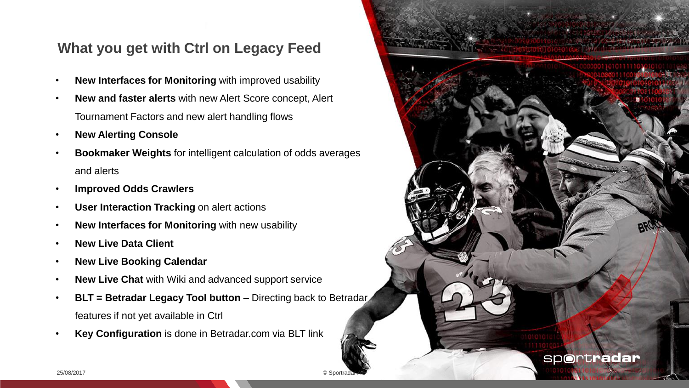## **What you get with Ctrl on Legacy Feed**

- **New Interfaces for Monitoring** with improved usability
- **New and faster alerts** with new Alert Score concept, Alert Tournament Factors and new alert handling flows
- **New Alerting Console**
- **Bookmaker Weights** for intelligent calculation of odds averages and alerts
- **Improved Odds Crawlers**
- **User Interaction Tracking on alert actions**
- **New Interfaces for Monitoring** with new usability
- **New Live Data Client**
- **New Live Booking Calendar**
- **New Live Chat** with Wiki and advanced support service
- **BLT = Betradar Legacy Tool button Directing back to Betradar** features if not yet available in Ctrl
- **Key Configuration** is done in Betradar.com via BLT link

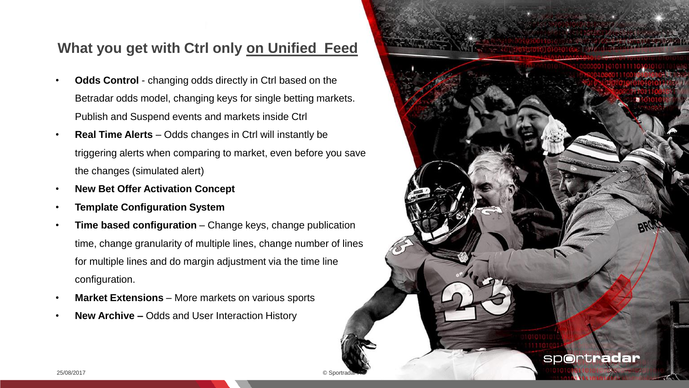## **What you get with Ctrl only on Unified Feed**

- **Odds Control**  changing odds directly in Ctrl based on the Betradar odds model, changing keys for single betting markets. Publish and Suspend events and markets inside Ctrl
- **Real Time Alerts**  Odds changes in Ctrl will instantly be triggering alerts when comparing to market, even before you save the changes (simulated alert)
- **New Bet Offer Activation Concept**
- **Template Configuration System**
- **Time based configuration** Change keys, change publication time, change granularity of multiple lines, change number of lines for multiple lines and do margin adjustment via the time line configuration.
- **Market Extensions** More markets on various sports
- **New Archive –** Odds and User Interaction History